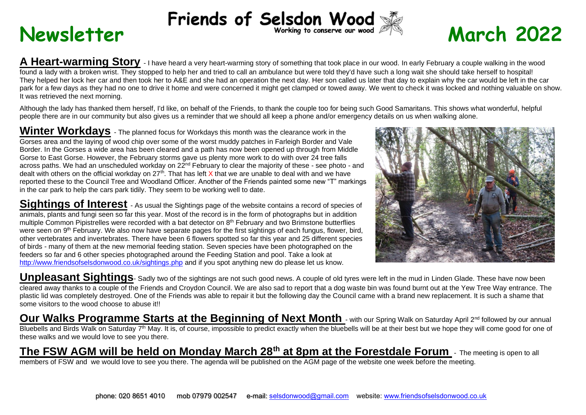# Rewsletter Friends of Selsdon Wood **& March** 2022

**A Heart-warming Story** - I have heard a very heart-warming story of something that took place in our wood. In early February a couple walking in the wood found a lady with a broken wrist. They stopped to help her and tried to call an ambulance but were told they'd have such a long wait she should take herself to hospital! They helped her lock her car and then took her to A&E and she had an operation the next day. Her son called us later that day to explain why the car would be left in the car park for a few days as they had no one to drive it home and were concerned it might get clamped or towed away. We went to check it was locked and nothing valuable on show. It was retrieved the next morning.

Although the lady has thanked them herself, I'd like, on behalf of the Friends, to thank the couple too for being such Good Samaritans. This shows what wonderful, helpful people there are in our community but also gives us a reminder that we should all keep a phone and/or emergency details on us when walking alone.

**Winter Workdays** - The planned focus for Workdays this month was the clearance work in the Gorses area and the laying of wood chip over some of the worst muddy patches in Farleigh Border and Vale Border. In the Gorses a wide area has been cleared and a path has now been opened up through from Middle Gorse to East Gorse. However, the February storms gave us plenty more work to do with over 24 tree falls across paths. We had an unscheduled workday on 22nd February to clear the majority of these - see photo - and dealt with others on the official workday on  $27<sup>th</sup>$ . That has left X that we are unable to deal with and we have reported these to the Council Tree and Woodland Officer. Another of the Friends painted some new "T" markings in the car park to help the cars park tidily. They seem to be working well to date.

**Sightings of Interest** - As usual the Sightings page of the website contains a record of species of animals, plants and fungi seen so far this year. Most of the record is in the form of photographs but in addition multiple Common Pipistrelles were recorded with a bat detector on 8th February and two Brimstone butterflies were seen on 9<sup>th</sup> February. We also now have separate pages for the first sightings of each fungus, flower, bird, other vertebrates and invertebrates. There have been 6 flowers spotted so far this year and 25 different species of birds - many of them at the new memorial feeding station. Seven species have been photographed on the feeders so far and 6 other species photographed around the Feeding Station and pool. Take a look at <http://www.friendsofselsdonwood.co.uk/sightings.php> and if you spot anything new do please let us know.

Unpleasant Sightings- Sadly two of the sightings are not such good news. A couple of old tyres were left in the mud in Linden Glade. These have now been cleared away thanks to a couple of the Friends and Croydon Council. We are also sad to report that a dog waste bin was found burnt out at the Yew Tree Way entrance. The plastic lid was completely destroyed. One of the Friends was able to repair it but the following day the Council came with a brand new replacement. It is such a shame that some visitors to the wood choose to abuse it!!

**Our Walks Programme Starts at the Beginning of Next Month** - with our Spring Walk on Saturday April 2<sup>nd</sup> followed by our annual Bluebells and Birds Walk on Saturday 7<sup>th</sup> May. It is, of course, impossible to predict exactly when the bluebells will be at their best but we hope they will come good for one of these walks and we would love to see you there.

**The FSW AGM will be held on Monday March 28th at 8pm at the Forestdale Forum** - The meeting is open to all members of FSW and we would love to see you there. The agenda will be published on the AGM page of the website one week before the meeting.